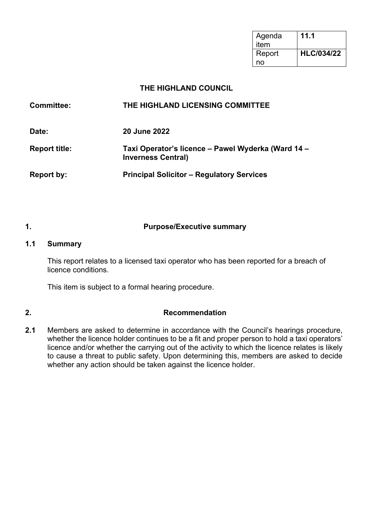| Agenda<br>item | 11.1              |
|----------------|-------------------|
| Report         | <b>HLC/034/22</b> |
| no             |                   |

#### **THE HIGHLAND COUNCIL**

| <b>Committee:</b>    | THE HIGHLAND LICENSING COMMITTEE                                                |
|----------------------|---------------------------------------------------------------------------------|
| Date:                | <b>20 June 2022</b>                                                             |
| <b>Report title:</b> | Taxi Operator's licence – Pawel Wyderka (Ward 14 –<br><b>Inverness Central)</b> |
| Report by:           | <b>Principal Solicitor - Regulatory Services</b>                                |

#### **1. Purpose/Executive summary**

#### **1.1 Summary**

This report relates to a licensed taxi operator who has been reported for a breach of licence conditions.

This item is subject to a formal hearing procedure.

#### **2. Recommendation**

**2.1** Members are asked to determine in accordance with the Council's hearings procedure, whether the licence holder continues to be a fit and proper person to hold a taxi operators' licence and/or whether the carrying out of the activity to which the licence relates is likely to cause a threat to public safety. Upon determining this, members are asked to decide whether any action should be taken against the licence holder.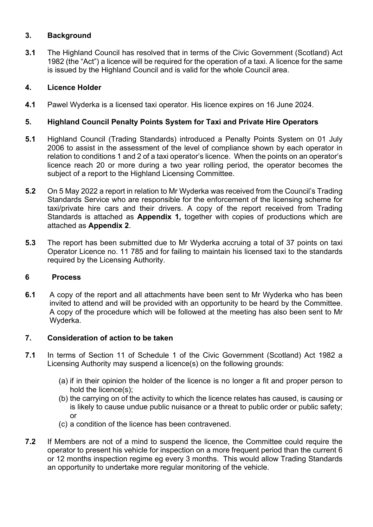#### **3. Background**

**3.1** The Highland Council has resolved that in terms of the Civic Government (Scotland) Act 1982 (the "Act") a licence will be required for the operation of a taxi. A licence for the same is issued by the Highland Council and is valid for the whole Council area.

#### **4. Licence Holder**

**4.1** Pawel Wyderka is a licensed taxi operator. His licence expires on 16 June 2024.

#### **5. Highland Council Penalty Points System for Taxi and Private Hire Operators**

- **5.1** Highland Council (Trading Standards) introduced a Penalty Points System on 01 July 2006 to assist in the assessment of the level of compliance shown by each operator in relation to conditions 1 and 2 of a taxi operator's licence. When the points on an operator's licence reach 20 or more during a two year rolling period, the operator becomes the subject of a report to the Highland Licensing Committee.
- **5.2** On 5 May 2022 a report in relation to Mr Wyderka was received from the Council's Trading Standards Service who are responsible for the enforcement of the licensing scheme for taxi/private hire cars and their drivers. A copy of the report received from Trading Standards is attached as **Appendix 1,** together with copies of productions which are attached as **Appendix 2**.
- **5.3** The report has been submitted due to Mr Wyderka accruing a total of 37 points on taxi Operator Licence no. 11 785 and for failing to maintain his licensed taxi to the standards required by the Licensing Authority.

#### **6 Process**

**6.1** A copy of the report and all attachments have been sent to Mr Wyderka who has been invited to attend and will be provided with an opportunity to be heard by the Committee. A copy of the procedure which will be followed at the meeting has also been sent to Mr Wyderka.

#### **7. Consideration of action to be taken**

- **7.1** In terms of Section 11 of Schedule 1 of the Civic Government (Scotland) Act 1982 a Licensing Authority may suspend a licence(s) on the following grounds:
	- (a) if in their opinion the holder of the licence is no longer a fit and proper person to hold the licence(s);
	- (b) the carrying on of the activity to which the licence relates has caused, is causing or is likely to cause undue public nuisance or a threat to public order or public safety; or
	- (c) a condition of the licence has been contravened.
- **7.2** If Members are not of a mind to suspend the licence, the Committee could require the operator to present his vehicle for inspection on a more frequent period than the current 6 or 12 months inspection regime eg every 3 months. This would allow Trading Standards an opportunity to undertake more regular monitoring of the vehicle.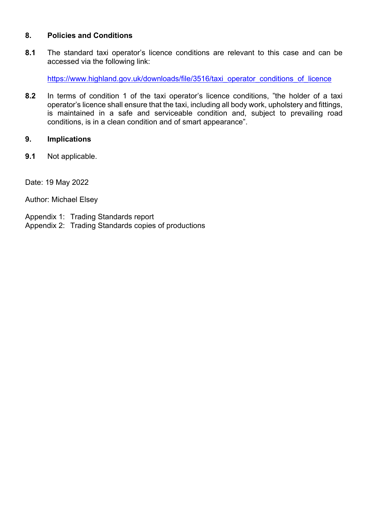#### **8. Policies and Conditions**

**8.1** The standard taxi operator's licence conditions are relevant to this case and can be accessed via the following link:

[https://www.highland.gov.uk/downloads/file/3516/taxi\\_operator\\_conditions\\_of\\_licence](https://www.highland.gov.uk/downloads/file/3516/taxi_operator_conditions_of_licence)

**8.2** In terms of condition 1 of the taxi operator's licence conditions, "the holder of a taxi operator's licence shall ensure that the taxi, including all body work, upholstery and fittings, is maintained in a safe and serviceable condition and, subject to prevailing road conditions, is in a clean condition and of smart appearance".

#### **9. Implications**

**9.1** Not applicable.

Date: 19 May 2022

Author: Michael Elsey

- Appendix 1: Trading Standards report
- Appendix 2: Trading Standards copies of productions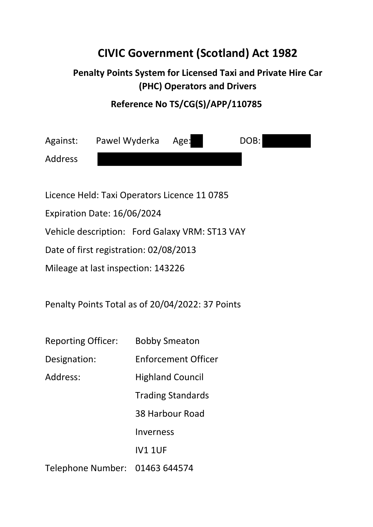## **CIVIC Government (Scotland) Act 1982**

### **Penalty Points System for Licensed Taxi and Private Hire Car (PHC) Operators and Drivers**

### **Reference No TS/CG(S)/APP/110785**

| Against:       | Pawel Wyderka                                | Age: | DOB: |
|----------------|----------------------------------------------|------|------|
| <b>Address</b> |                                              |      |      |
|                |                                              |      |      |
|                | Licence Held: Taxi Operators Licence 11 0785 |      |      |

Expiration Date: 16/06/2024

Vehicle description: Ford Galaxy VRM: ST13 VAY

Date of first registration: 02/08/2013

Mileage at last inspection: 143226

Penalty Points Total as of 20/04/2022: 37 Points

| <b>Reporting Officer:</b>      | <b>Bobby Smeaton</b>       |
|--------------------------------|----------------------------|
| Designation:                   | <b>Enforcement Officer</b> |
| Address:                       | <b>Highland Council</b>    |
|                                | <b>Trading Standards</b>   |
|                                | 38 Harbour Road            |
|                                | Inverness                  |
|                                | <b>IV1 1UF</b>             |
| Telephone Number: 01463 644574 |                            |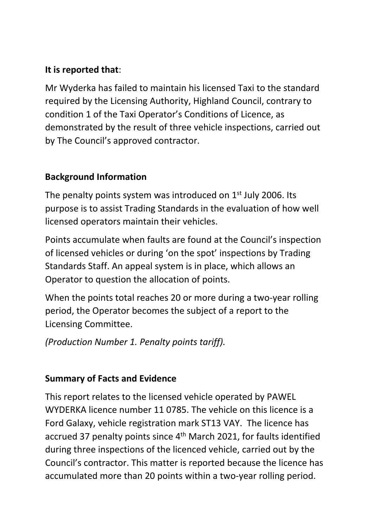### **It is reported that**:

Mr Wyderka has failed to maintain his licensed Taxi to the standard required by the Licensing Authority, Highland Council, contrary to condition 1 of the Taxi Operator's Conditions of Licence, as demonstrated by the result of three vehicle inspections, carried out by The Council's approved contractor.

### **Background Information**

The penalty points system was introduced on 1st July 2006. Its purpose is to assist Trading Standards in the evaluation of how well licensed operators maintain their vehicles.

Points accumulate when faults are found at the Council's inspection of licensed vehicles or during 'on the spot' inspections by Trading Standards Staff. An appeal system is in place, which allows an Operator to question the allocation of points.

When the points total reaches 20 or more during a two-year rolling period, the Operator becomes the subject of a report to the Licensing Committee.

*(Production Number 1. Penalty points tariff).* 

### **Summary of Facts and Evidence**

This report relates to the licensed vehicle operated by PAWEL WYDERKA licence number 11 0785. The vehicle on this licence is a Ford Galaxy, vehicle registration mark ST13 VAY. The licence has accrued 37 penalty points since 4<sup>th</sup> March 2021, for faults identified during three inspections of the licenced vehicle, carried out by the Council's contractor. This matter is reported because the licence has accumulated more than 20 points within a two-year rolling period.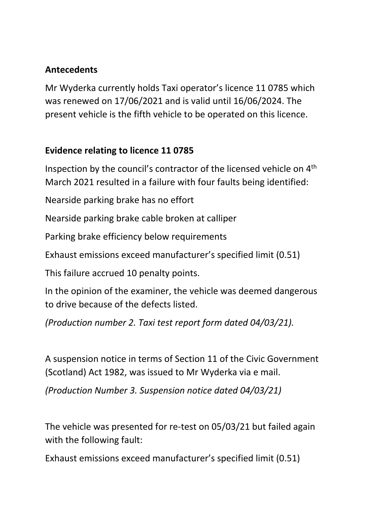### **Antecedents**

Mr Wyderka currently holds Taxi operator's licence 11 0785 which was renewed on 17/06/2021 and is valid until 16/06/2024. The present vehicle is the fifth vehicle to be operated on this licence.

### **Evidence relating to licence 11 0785**

Inspection by the council's contractor of the licensed vehicle on 4th March 2021 resulted in a failure with four faults being identified:

Nearside parking brake has no effort

Nearside parking brake cable broken at calliper

Parking brake efficiency below requirements

Exhaust emissions exceed manufacturer's specified limit (0.51)

This failure accrued 10 penalty points.

In the opinion of the examiner, the vehicle was deemed dangerous to drive because of the defects listed.

*(Production number 2. Taxi test report form dated 04/03/21).* 

A suspension notice in terms of Section 11 of the Civic Government (Scotland) Act 1982, was issued to Mr Wyderka via e mail.

*(Production Number 3. Suspension notice dated 04/03/21)*

The vehicle was presented for re-test on 05/03/21 but failed again with the following fault:

Exhaust emissions exceed manufacturer's specified limit (0.51)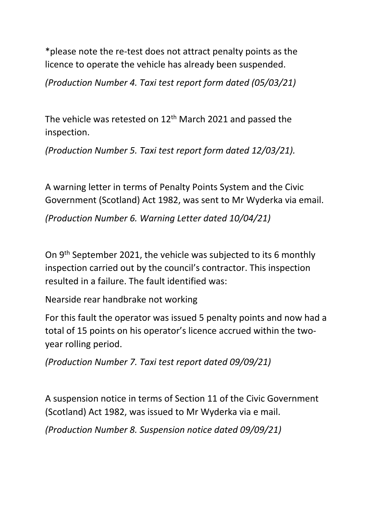\*please note the re-test does not attract penalty points as the licence to operate the vehicle has already been suspended.

*(Production Number 4. Taxi test report form dated (05/03/21)*

The vehicle was retested on 12<sup>th</sup> March 2021 and passed the inspection.

*(Production Number 5. Taxi test report form dated 12/03/21).* 

A warning letter in terms of Penalty Points System and the Civic Government (Scotland) Act 1982, was sent to Mr Wyderka via email.

*(Production Number 6. Warning Letter dated 10/04/21)* 

On 9th September 2021, the vehicle was subjected to its 6 monthly inspection carried out by the council's contractor. This inspection resulted in a failure. The fault identified was:

Nearside rear handbrake not working

For this fault the operator was issued 5 penalty points and now had a total of 15 points on his operator's licence accrued within the twoyear rolling period.

*(Production Number 7. Taxi test report dated 09/09/21)* 

A suspension notice in terms of Section 11 of the Civic Government (Scotland) Act 1982, was issued to Mr Wyderka via e mail.

*(Production Number 8. Suspension notice dated 09/09/21)*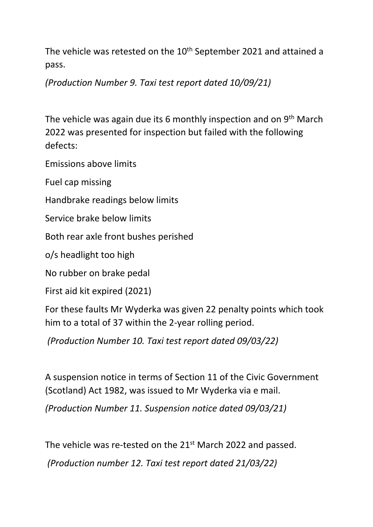The vehicle was retested on the 10<sup>th</sup> September 2021 and attained a pass.

*(Production Number 9. Taxi test report dated 10/09/21)* 

The vehicle was again due its 6 monthly inspection and on 9<sup>th</sup> March 2022 was presented for inspection but failed with the following defects:

Emissions above limits

Fuel cap missing

Handbrake readings below limits

Service brake below limits

Both rear axle front bushes perished

o/s headlight too high

No rubber on brake pedal

First aid kit expired (2021)

For these faults Mr Wyderka was given 22 penalty points which took him to a total of 37 within the 2-year rolling period.

*(Production Number 10. Taxi test report dated 09/03/22)* 

A suspension notice in terms of Section 11 of the Civic Government (Scotland) Act 1982, was issued to Mr Wyderka via e mail.

*(Production Number 11. Suspension notice dated 09/03/21)*

The vehicle was re-tested on the 21<sup>st</sup> March 2022 and passed.

 *(Production number 12. Taxi test report dated 21/03/22)*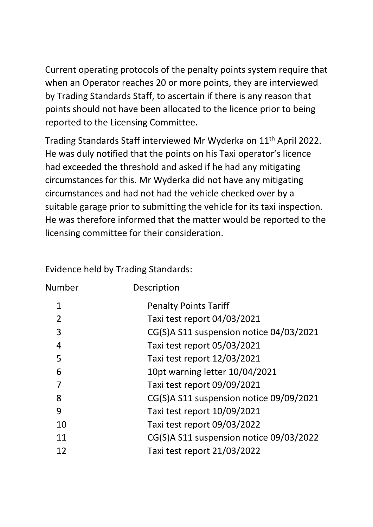Current operating protocols of the penalty points system require that when an Operator reaches 20 or more points, they are interviewed by Trading Standards Staff, to ascertain if there is any reason that points should not have been allocated to the licence prior to being reported to the Licensing Committee.

Trading Standards Staff interviewed Mr Wyderka on 11th April 2022. He was duly notified that the points on his Taxi operator's licence had exceeded the threshold and asked if he had any mitigating circumstances for this. Mr Wyderka did not have any mitigating circumstances and had not had the vehicle checked over by a suitable garage prior to submitting the vehicle for its taxi inspection. He was therefore informed that the matter would be reported to the licensing committee for their consideration.

Evidence held by Trading Standards:

| Number         | Description                             |
|----------------|-----------------------------------------|
| 1              | <b>Penalty Points Tariff</b>            |
| $\overline{2}$ | Taxi test report 04/03/2021             |
| 3              | CG(S)A S11 suspension notice 04/03/2021 |
| $\overline{4}$ | Taxi test report 05/03/2021             |
| 5              | Taxi test report 12/03/2021             |
| 6              | 10pt warning letter 10/04/2021          |
| 7              | Taxi test report 09/09/2021             |
| 8              | CG(S)A S11 suspension notice 09/09/2021 |
| 9              | Taxi test report 10/09/2021             |
| 10             | Taxi test report 09/03/2022             |
| 11             | CG(S)A S11 suspension notice 09/03/2022 |
| 12             | Taxi test report 21/03/2022             |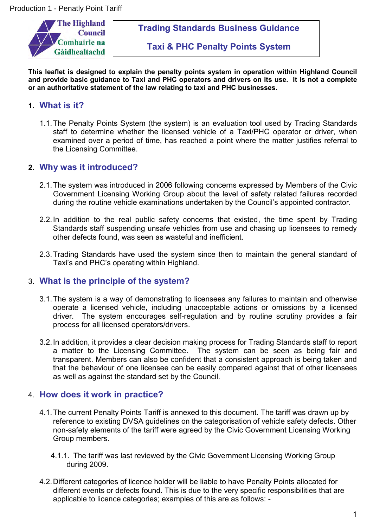

**Trading Standards Business Guidance**

**Taxi & PHC Penalty Points System**

**This leaflet is designed to explain the penalty points system in operation within Highland Council and provide basic guidance to Taxi and PHC operators and drivers on its use. It is not a complete or an authoritative statement of the law relating to taxi and PHC businesses.**

#### **1. What is it?**

1.1.The Penalty Points System (the system) is an evaluation tool used by Trading Standards staff to determine whether the licensed vehicle of a Taxi/PHC operator or driver, when examined over a period of time, has reached a point where the matter justifies referral to the Licensing Committee.

#### **2. Why was it introduced?**

- 2.1.The system was introduced in 2006 following concerns expressed by Members of the Civic Government Licensing Working Group about the level of safety related failures recorded during the routine vehicle examinations undertaken by the Council's appointed contractor.
- 2.2.In addition to the real public safety concerns that existed, the time spent by Trading Standards staff suspending unsafe vehicles from use and chasing up licensees to remedy other defects found, was seen as wasteful and inefficient.
- 2.3.Trading Standards have used the system since then to maintain the general standard of Taxi's and PHC's operating within Highland.

#### 3. **What is the principle of the system?**

- 3.1.The system is a way of demonstrating to licensees any failures to maintain and otherwise operate a licensed vehicle, including unacceptable actions or omissions by a licensed driver. The system encourages self-regulation and by routine scrutiny provides a fair process for all licensed operators/drivers.
- 3.2.In addition, it provides a clear decision making process for Trading Standards staff to report a matter to the Licensing Committee. The system can be seen as being fair and transparent. Members can also be confident that a consistent approach is being taken and that the behaviour of one licensee can be easily compared against that of other licensees as well as against the standard set by the Council.

#### 4. **How does it work in practice?**

- 4.1.The current Penalty Points Tariff is annexed to this document. The tariff was drawn up by reference to existing DVSA guidelines on the categorisation of vehicle safety defects. Other non-safety elements of the tariff were agreed by the Civic Government Licensing Working Group members.
	- 4.1.1. The tariff was last reviewed by the Civic Government Licensing Working Group during 2009.
- 4.2.Different categories of licence holder will be liable to have Penalty Points allocated for different events or defects found. This is due to the very specific responsibilities that are applicable to licence categories; examples of this are as follows: -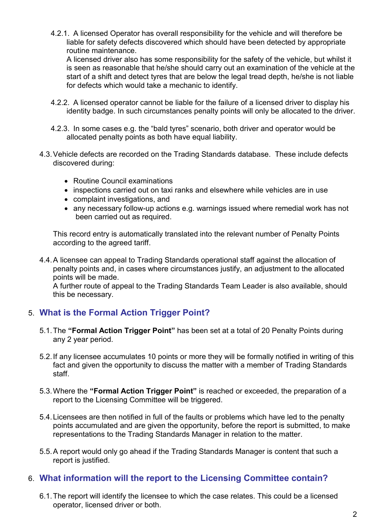4.2.1. A licensed Operator has overall responsibility for the vehicle and will therefore be liable for safety defects discovered which should have been detected by appropriate routine maintenance.

A licensed driver also has some responsibility for the safety of the vehicle, but whilst it is seen as reasonable that he/she should carry out an examination of the vehicle at the start of a shift and detect tyres that are below the legal tread depth, he/she is not liable for defects which would take a mechanic to identify.

- 4.2.2. A licensed operator cannot be liable for the failure of a licensed driver to display his identity badge. In such circumstances penalty points will only be allocated to the driver.
- 4.2.3. In some cases e.g. the "bald tyres" scenario, both driver and operator would be allocated penalty points as both have equal liability.
- 4.3.Vehicle defects are recorded on the Trading Standards database. These include defects discovered during:
	- Routine Council examinations
	- inspections carried out on taxi ranks and elsewhere while vehicles are in use
	- complaint investigations, and
	- any necessary follow-up actions e.g. warnings issued where remedial work has not been carried out as required.

This record entry is automatically translated into the relevant number of Penalty Points according to the agreed tariff.

4.4.A licensee can appeal to Trading Standards operational staff against the allocation of penalty points and, in cases where circumstances justify, an adjustment to the allocated points will be made.

A further route of appeal to the Trading Standards Team Leader is also available, should this be necessary.

### 5. **What is the Formal Action Trigger Point?**

- 5.1.The **"Formal Action Trigger Point"** has been set at a total of 20 Penalty Points during any 2 year period.
- 5.2.If any licensee accumulates 10 points or more they will be formally notified in writing of this fact and given the opportunity to discuss the matter with a member of Trading Standards staff.
- 5.3.Where the **"Formal Action Trigger Point"** is reached or exceeded, the preparation of a report to the Licensing Committee will be triggered.
- 5.4.Licensees are then notified in full of the faults or problems which have led to the penalty points accumulated and are given the opportunity, before the report is submitted, to make representations to the Trading Standards Manager in relation to the matter.
- 5.5.A report would only go ahead if the Trading Standards Manager is content that such a report is justified.

#### 6. **What information will the report to the Licensing Committee contain?**

6.1.The report will identify the licensee to which the case relates. This could be a licensed operator, licensed driver or both.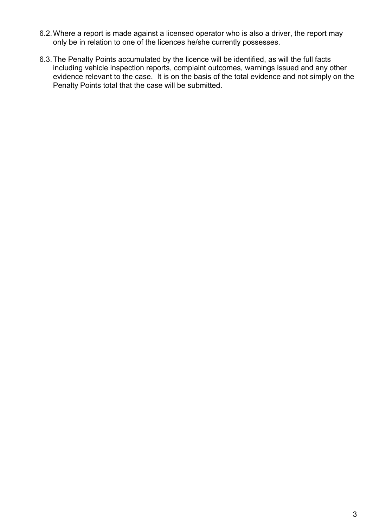- 6.2.Where a report is made against a licensed operator who is also a driver, the report may only be in relation to one of the licences he/she currently possesses.
- 6.3.The Penalty Points accumulated by the licence will be identified, as will the full facts including vehicle inspection reports, complaint outcomes, warnings issued and any other evidence relevant to the case. It is on the basis of the total evidence and not simply on the Penalty Points total that the case will be submitted.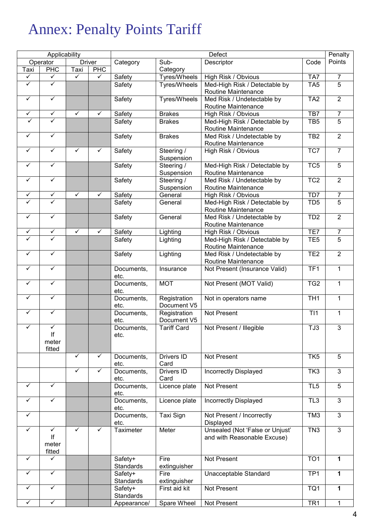# Annex: Penalty Points Tariff

|              | Applicability |              |               | Defect             |                     | Penalty                                    |                  |                                  |
|--------------|---------------|--------------|---------------|--------------------|---------------------|--------------------------------------------|------------------|----------------------------------|
|              | Operator      |              | <b>Driver</b> | Category           | Sub-                | Descriptor                                 | Code             | Points                           |
| Taxi         | <b>PHC</b>    | Taxi         | <b>PHC</b>    |                    | Category            |                                            |                  |                                  |
| ✓            | ✓             | ✓            | ✓             | Safety             | Tyres/Wheels        | High Risk / Obvious                        | TA7              | 7                                |
| ✓            | ✓             |              |               | Safety             | Tyres/Wheels        | Med-High Risk / Detectable by              | TA <sub>5</sub>  | $\overline{5}$                   |
|              |               |              |               |                    |                     | Routine Maintenance                        |                  |                                  |
| $\checkmark$ | $\checkmark$  |              |               | Safety             | <b>Tyres/Wheels</b> | Med Risk / Undetectable by                 | TA <sub>2</sub>  | $\overline{2}$                   |
|              |               |              |               |                    |                     | Routine Maintenance                        |                  |                                  |
| ✓            | $\checkmark$  | $\checkmark$ | ✓             | Safety             | <b>Brakes</b>       | High Risk / Obvious                        | TB7              | 7                                |
| ✓            | ✓             |              |               | Safety             | <b>Brakes</b>       | Med-High Risk / Detectable by              | TB <sub>5</sub>  | $\overline{5}$                   |
|              |               |              |               |                    |                     | Routine Maintenance                        |                  |                                  |
| ✓            | ✓             |              |               | Safety             | <b>Brakes</b>       | Med Risk / Undetectable by                 | TB <sub>2</sub>  | $\overline{2}$                   |
|              |               |              |               |                    |                     | Routine Maintenance                        |                  |                                  |
| $\checkmark$ | $\checkmark$  | ✓            | ✓             | Safety             | Steering /          | High Risk / Obvious                        | TC7              | $\overline{7}$                   |
|              |               |              |               |                    | Suspension          |                                            |                  |                                  |
| ✓            | ✓             |              |               | Safety             | Steering /          | Med-High Risk / Detectable by              | TC <sub>5</sub>  | $\overline{5}$                   |
| ✓            | ✓             |              |               |                    | Suspension          | Routine Maintenance                        |                  |                                  |
|              |               |              |               | Safety             | Steering /          | Med Risk / Undetectable by                 | TC <sub>2</sub>  | $\overline{2}$                   |
| $\checkmark$ | $\checkmark$  | $\checkmark$ | $\checkmark$  |                    | Suspension          | Routine Maintenance                        |                  |                                  |
|              | $\checkmark$  |              |               | Safety             | General             | High Risk / Obvious                        | T <sub>D</sub> 7 | $\overline{7}$<br>$\overline{5}$ |
|              |               |              |               | Safety             | General             | Med-High Risk / Detectable by              | TD <sub>5</sub>  |                                  |
| $\checkmark$ | $\checkmark$  |              |               |                    |                     | Routine Maintenance                        |                  | $\overline{2}$                   |
|              |               |              |               | Safety             | General             | Med Risk / Undetectable by                 | TD <sub>2</sub>  |                                  |
| ✓            | $\checkmark$  | ✓            | $\checkmark$  | Safety             |                     | Routine Maintenance<br>High Risk / Obvious | TE7              | $\overline{7}$                   |
| ✓            | ✓             |              |               | Safety             | Lighting            | Med-High Risk / Detectable by              | TE <sub>5</sub>  | $\overline{5}$                   |
|              |               |              |               |                    | Lighting            | Routine Maintenance                        |                  |                                  |
| $\checkmark$ | ✓             |              |               | Safety             | Lighting            | Med Risk / Undetectable by                 | TE <sub>2</sub>  | $\overline{2}$                   |
|              |               |              |               |                    |                     | Routine Maintenance                        |                  |                                  |
| ✓            | ✓             |              |               | Documents,         | Insurance           | Not Present (Insurance Valid)              | TF1              | $\mathbf{1}$                     |
|              |               |              |               | etc.               |                     |                                            |                  |                                  |
| ✓            | ✓             |              |               | Documents,         | <b>MOT</b>          | Not Present (MOT Valid)                    | TG <sub>2</sub>  | 1                                |
|              |               |              |               | etc.               |                     |                                            |                  |                                  |
| ✓            | $\checkmark$  |              |               | Documents,         | Registration        | Not in operators name                      | TH <sub>1</sub>  | $\mathbf{1}$                     |
|              |               |              |               | etc.               | Document V5         |                                            |                  |                                  |
| $\checkmark$ | $\checkmark$  |              |               | Documents,         | Registration        | Not Present                                | T <sub>1</sub>   | $\mathbf{1}$                     |
|              |               |              |               | etc.               | Document V5         |                                            |                  |                                  |
| $\checkmark$ | $\checkmark$  |              |               | Documents,         | <b>Tariff Card</b>  | Not Present / Illegible                    | TJ3              | 3                                |
|              | lf            |              |               | etc.               |                     |                                            |                  |                                  |
|              | meter         |              |               |                    |                     |                                            |                  |                                  |
|              | fitted        |              |               |                    |                     |                                            |                  |                                  |
|              |               | ✓            | ✓             | Documents,         | Drivers ID          | Not Present                                | TK <sub>5</sub>  | 5                                |
|              |               | $\checkmark$ | ✓             | etc.               | Card<br>Drivers ID  |                                            |                  | $\mathbf{3}$                     |
|              |               |              |               | Documents,<br>etc. | Card                | <b>Incorrectly Displayed</b>               | TK3              |                                  |
| ✓            | $\checkmark$  |              |               | Documents,         | Licence plate       | Not Present                                | TL <sub>5</sub>  | 5                                |
|              |               |              |               | etc.               |                     |                                            |                  |                                  |
| ✓            | ✓             |              |               | Documents,         | Licence plate       | Incorrectly Displayed                      | TL <sub>3</sub>  | $\overline{3}$                   |
|              |               |              |               | etc.               |                     |                                            |                  |                                  |
| ✓            |               |              |               | Documents,         | Taxi Sign           | Not Present / Incorrectly                  | TM <sub>3</sub>  | 3                                |
|              |               |              |               | etc.               |                     | Displayed                                  |                  |                                  |
| ✓            | $\checkmark$  | ✓            | ✓             | Taximeter          | Meter               | Unsealed (Not 'False or Unjust'            | TN <sub>3</sub>  | 3                                |
|              | lf            |              |               |                    |                     | and with Reasonable Excuse)                |                  |                                  |
|              | meter         |              |               |                    |                     |                                            |                  |                                  |
|              | fitted        |              |               |                    |                     |                                            |                  |                                  |
| ✓            | ✓             |              |               | Safety+            | Fire                | Not Present                                | TO <sub>1</sub>  | 1                                |
|              |               |              |               | Standards          | extinguisher        |                                            |                  |                                  |
| ✓            | $\checkmark$  |              |               | Safety+            | Fire                | Unacceptable Standard                      | TP <sub>1</sub>  | 1                                |
|              |               |              |               | <b>Standards</b>   | extinguisher        |                                            |                  |                                  |
| ✓            | $\checkmark$  |              |               | Safety+            | First aid kit       | Not Present                                | TQ1              | 1                                |
|              |               |              |               | Standards          |                     |                                            |                  |                                  |
| ✓            | ✓             |              |               | Appearance/        | Spare Wheel         | Not Present                                | TR <sub>1</sub>  | 1                                |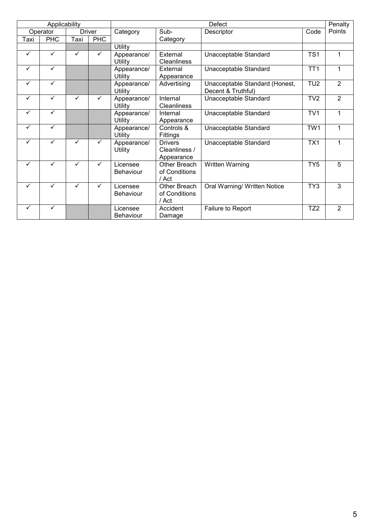|              | Applicability |              |               | <b>Defect</b>                |                                               |                                                      | Penalty         |                |
|--------------|---------------|--------------|---------------|------------------------------|-----------------------------------------------|------------------------------------------------------|-----------------|----------------|
|              | Operator      |              | <b>Driver</b> | Category                     | Sub-                                          | Descriptor                                           | Code            | Points         |
| Taxi         | <b>PHC</b>    | Taxi         | <b>PHC</b>    |                              | Category                                      |                                                      |                 |                |
|              |               |              |               | Utility                      |                                               |                                                      |                 |                |
| $\checkmark$ | $\checkmark$  | $\checkmark$ | $\checkmark$  | Appearance/<br>Utility       | External<br><b>Cleanliness</b>                | Unacceptable Standard                                | TS <sub>1</sub> | 1              |
| $\checkmark$ | ✓             |              |               | Appearance/<br>Utility       | External<br>Appearance                        | Unacceptable Standard                                | TT <sub>1</sub> | 1              |
| $\checkmark$ | $\checkmark$  |              |               | Appearance/<br>Utility       | Advertising                                   | Unacceptable Standard (Honest,<br>Decent & Truthful) | TU <sub>2</sub> | $\overline{2}$ |
| $\checkmark$ | ✓             | ✓            | ✓             | Appearance/<br>Utility       | Internal<br>Cleanliness                       | Unacceptable Standard                                | TV <sub>2</sub> | $\overline{2}$ |
| $\checkmark$ | $\checkmark$  |              |               | Appearance/<br>Utility       | Internal<br>Appearance                        | Unacceptable Standard                                | TV1             | $\mathbf{1}$   |
| $\checkmark$ | ✓             |              |               | Appearance/<br>Utility       | Controls &<br>Fittings                        | Unacceptable Standard                                | TW1             | 1              |
| $\checkmark$ | ✓             | $\checkmark$ | $\checkmark$  | Appearance/<br>Utility       | <b>Drivers</b><br>Cleanliness /<br>Appearance | Unacceptable Standard                                | TX1             | 1              |
| $\checkmark$ | $\checkmark$  | $\checkmark$ | $\checkmark$  | Licensee<br>Behaviour        | Other Breach<br>of Conditions<br>/ Act        | <b>Written Warning</b>                               | TY <sub>5</sub> | 5              |
| $\checkmark$ | ✓             | $\checkmark$ | $\checkmark$  | Licensee<br><b>Behaviour</b> | Other Breach<br>of Conditions<br>/ Act        | Oral Warning/ Written Notice                         | TY3             | 3              |
| $\checkmark$ | ✓             |              |               | Licensee<br><b>Behaviour</b> | Accident<br>Damage                            | <b>Failure to Report</b>                             | TZ <sub>2</sub> | 2              |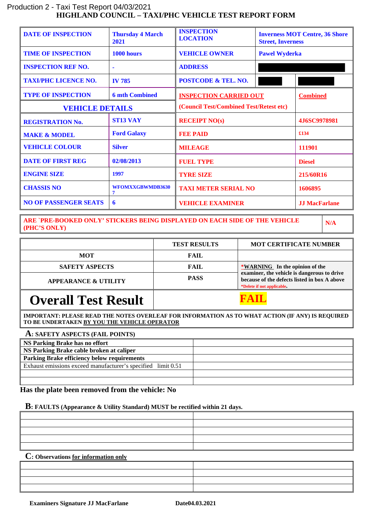#### **HIGHLAND COUNCIL – TAXI/PHC VEHICLE TEST REPORT FORM** Production 2 - Taxi Test Report 04/03/2021

| <b>DATE OF INSPECTION</b>    | <b>Thursday 4 March</b><br>2021 | <b>INSPECTION</b><br><b>LOCATION</b><br><b>Street, Inverness</b> |  | <b>Inverness MOT Centre, 36 Shore</b> |
|------------------------------|---------------------------------|------------------------------------------------------------------|--|---------------------------------------|
| <b>TIME OF INSPECTION</b>    | 1000 hours                      | <b>VEHICLE OWNER</b><br><b>Pawel Wyderka</b>                     |  |                                       |
| <b>INSPECTION REF NO.</b>    |                                 | <b>ADDRESS</b>                                                   |  |                                       |
| <b>TAXI/PHC LICENCE NO.</b>  | <b>IV 785</b>                   | <b>POSTCODE &amp; TEL. NO.</b>                                   |  |                                       |
| <b>TYPE OF INSPECTION</b>    | <b>6 mth Combined</b>           | <b>INSPECTION CARRIED OUT</b>                                    |  | <b>Combined</b>                       |
| <b>VEHICLE DETAILS</b>       |                                 | (Council Test/Combined Test/Retest etc)                          |  |                                       |
| <b>REGISTRATION No.</b>      | <b>ST13 VAY</b>                 | <b>RECEIPT NO(s)</b>                                             |  | 4J6SC9978981                          |
| <b>MAKE &amp; MODEL</b>      | <b>Ford Galaxy</b>              | <b>FEE PAID</b>                                                  |  | £134                                  |
| <b>VEHICLE COLOUR</b>        | <b>Silver</b>                   | <b>MILEAGE</b>                                                   |  | 111901                                |
| <b>DATE OF FIRST REG</b>     | 02/08/2013                      | <b>FUEL TYPE</b>                                                 |  | <b>Diesel</b>                         |
| <b>ENGINE SIZE</b>           | 1997                            | <b>TYRE SIZE</b>                                                 |  | 215/60R16                             |
| <b>CHASSIS NO</b>            | WFOMXXGBWMDB3630<br>7           | <b>TAXI METER SERIAL NO</b>                                      |  | 1606895                               |
| <b>NO OF PASSENGER SEATS</b> | 6                               | <b>VEHICLE EXAMINER</b>                                          |  | <b>JJ MacFarlane</b>                  |

**ARE `PRE-BOOKED ONLY' STICKERS BEING DISPLAYED ON EACH SIDE OF THE VEHICLE (PHC'S ONLY)**

**N/A**

|                                 | <b>TEST RESULTS</b> | <b>MOT CERTIFICATE NUMBER</b>                                                                                             |
|---------------------------------|---------------------|---------------------------------------------------------------------------------------------------------------------------|
| <b>MOT</b>                      | FAIL                |                                                                                                                           |
| <b>SAFETY ASPECTS</b>           | FAIL                | *WARNING In the opinion of the                                                                                            |
| <b>APPEARANCE &amp; UTILITY</b> | <b>PASS</b>         | examiner, the vehicle is dangerous to drive<br>because of the defects listed in box A above<br>*Delete if not applicable. |
| <b>Overall Test Result</b>      |                     |                                                                                                                           |

**IMPORTANT: PLEASE READ THE NOTES OVERLEAF FOR INFORMATION AS TO WHAT ACTION (IF ANY) IS REQUIRED TO BE UNDERTAKEN BY YOU THE VEHICLE OPERATOR**

#### **A: SAFETY ASPECTS (FAIL POINTS)**

| <b>NS Parking Brake has no effort</b>                        |  |
|--------------------------------------------------------------|--|
| NS Parking Brake cable broken at caliper                     |  |
| <b>Parking Brake efficiency below requirements</b>           |  |
| Exhaust emissions exceed manufacturer's specified limit 0.51 |  |
|                                                              |  |
|                                                              |  |

#### **Has the plate been removed from the vehicle: No**

#### **B: FAULTS (Appearance & Utility Standard) MUST be rectified within 21 days.**

| $\sim$ |  |
|--------|--|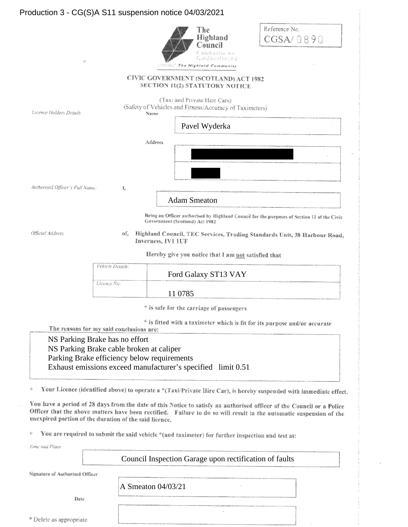#### Production 3 - CG(S)A S11 suspension notice 04/03/2021

| 铮                               | Reference No.<br>The<br>Highland<br>CGSA/0890<br>Council<br>Cambairle na<br>Gaidhealtachd<br>SERVING The Highland Community   |
|---------------------------------|-------------------------------------------------------------------------------------------------------------------------------|
|                                 | CIVIC GOVERNMENT (SCOTLAND) ACT 1982<br>SECTION 11(2) STATUTORY NOTICE                                                        |
| Licence Holders Details         | (Taxi and Private Hire Cars)<br>(Safety of Vehicles and Fitness/Accuracy of Taximeters)<br>Name                               |
|                                 | Pavel Wyderka                                                                                                                 |
|                                 | Address                                                                                                                       |
| Authorised Officer's Full Name: | Ĩ,<br><b>Adam Smeaton</b>                                                                                                     |
|                                 | Being an Officer authorised by Highland Council for the purposes of Section 11 of the Civic<br>Government (Scotland) Act 1982 |
| Official Address                | Highland Council, TEC Services, Trading Standards Unit, 38 Harbour Road<br>of.<br>Inverness, IV1 1UF                          |
|                                 | Hereby give you notice that I am not satisfied that                                                                           |

| Vehicle Details: |                      |  |
|------------------|----------------------|--|
|                  | Ford Galaxy ST13 VAY |  |
| Licence No:      |                      |  |
|                  | 11 0785              |  |

\* is safe for the carriage of passengers

\* is fitted with a taximeter which is fit for its purpose and/or accurate

oad.

The reasons for my said conclusions are:

NS Parking Brake has no effort NS Parking Brake cable broken at caliper Parking Brake efficiency below requirements Exhaust emissions exceed manufacturer's specified limit 0.51

Your Licence (identified above) to operate a \*(Taxi/Private Hire Car), is hereby suspended with immediate effect. 影

You have a period of 28 days from the date of this Notice to satisfy an authorised officer of the Council or a Police Officer that the above matters have been rectified. Failure to do so will result in the automatic suspension of the unexpired portion of the duration of the said licence.

You are required to submit the said vehicle \*(and taximeter) for further inspection and test at: Ś.

A Smeaton 04/03/21

Time and Place

Council Inspection Garage upon rectification of faults

Signature of Authorised Officer

Date

\* Delete as appropriate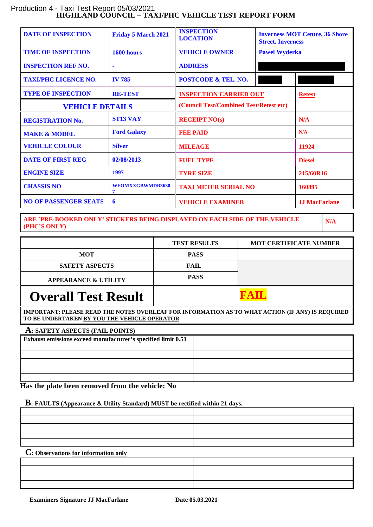#### **HIGHLAND COUNCIL – TAXI/PHC VEHICLE TEST REPORT FORM** Production 4 - Taxi Test Report 05/03/2021

| <b>DATE OF INSPECTION</b>    | <b>Friday 5 March 2021</b> | <b>INSPECTION</b><br><b>LOCATION</b>         | <b>Inverness MOT Centre, 36 Shore</b><br><b>Street, Inverness</b> |                      |
|------------------------------|----------------------------|----------------------------------------------|-------------------------------------------------------------------|----------------------|
| <b>TIME OF INSPECTION</b>    | 1600 hours                 | <b>VEHICLE OWNER</b><br><b>Pawel Wyderka</b> |                                                                   |                      |
| <b>INSPECTION REF NO.</b>    | $\blacksquare$             | <b>ADDRESS</b>                               |                                                                   |                      |
| <b>TAXI/PHC LICENCE NO.</b>  | <b>IV 785</b>              | <b>POSTCODE &amp; TEL. NO.</b>               |                                                                   |                      |
| <b>TYPE OF INSPECTION</b>    | <b>RE-TEST</b>             | <b>INSPECTION CARRIED OUT</b>                |                                                                   | <b>Retest</b>        |
| <b>VEHICLE DETAILS</b>       |                            | (Council Test/Combined Test/Retest etc)      |                                                                   |                      |
| <b>REGISTRATION No.</b>      | <b>ST13 VAY</b>            | <b>RECEIPT NO(s)</b>                         |                                                                   | N/A                  |
| <b>MAKE &amp; MODEL</b>      | <b>Ford Galaxy</b>         | <b>FEE PAID</b>                              |                                                                   | N/A                  |
| <b>VEHICLE COLOUR</b>        | <b>Silver</b>              | <b>MILEAGE</b>                               |                                                                   | 11924                |
| <b>DATE OF FIRST REG</b>     | 02/08/2013                 | <b>FUEL TYPE</b>                             |                                                                   | <b>Diesel</b>        |
| <b>ENGINE SIZE</b>           | 1997                       | <b>TYRE SIZE</b>                             |                                                                   | 215/60R16            |
| <b>CHASSIS NO</b>            | WFOMXXGBWMDB3630<br>7      | <b>TAXI METER SERIAL NO</b>                  |                                                                   | 160895               |
| <b>NO OF PASSENGER SEATS</b> | 6                          | <b>VEHICLE EXAMINER</b>                      |                                                                   | <b>JJ MacFarlane</b> |

**ARE `PRE-BOOKED ONLY' STICKERS BEING DISPLAYED ON EACH SIDE OF THE VEHICLE (PHC'S ONLY)**

**N/A**

|                                                                                                  | <b>TEST RESULTS</b> | <b>MOT CERTIFICATE NUMBER</b> |  |
|--------------------------------------------------------------------------------------------------|---------------------|-------------------------------|--|
| <b>MOT</b>                                                                                       | <b>PASS</b>         |                               |  |
| <b>SAFETY ASPECTS</b>                                                                            | <b>FAIL</b>         |                               |  |
| <b>APPEARANCE &amp; UTILITY</b>                                                                  | <b>PASS</b>         |                               |  |
| <b>Overall Test Result</b>                                                                       |                     |                               |  |
| IMPORTANT: PLEASE READ THE NOTES OVERLEAF FOR INFORMATION AS TO WHAT ACTION (IF ANY) IS REQUIRED |                     |                               |  |

**TO BE UNDERTAKEN BY YOU THE VEHICLE OPERATOR**

#### **A: SAFETY ASPECTS (FAIL POINTS)**

| <b>Exhaust emissions exceed manufacturer's specified limit 0.51</b> |  |
|---------------------------------------------------------------------|--|
|                                                                     |  |
|                                                                     |  |
|                                                                     |  |
|                                                                     |  |
|                                                                     |  |

 **Has the plate been removed from the vehicle: No**

#### **B: FAULTS (Appearance & Utility Standard) MUST be rectified within 21 days.**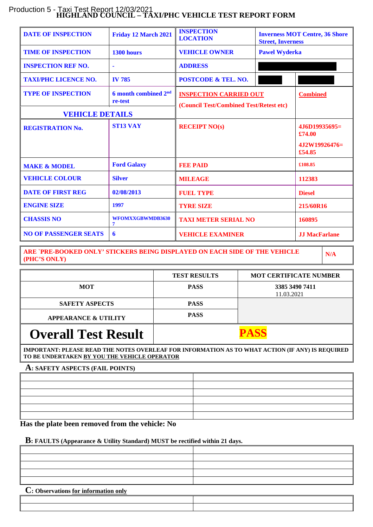#### **HIGHLAND COUNCIL – TAXI/PHC VEHICLE TEST REPORT FORM** Production 5 - Taxi Test Report 12/03/2021

| <b>DATE OF INSPECTION</b>    | Friday 12 March 2021                        | <b>INSPECTION</b><br><b>LOCATION</b>                                     | <b>Inverness MOT Centre, 36 Shore</b><br><b>Street, Inverness</b> |                            |
|------------------------------|---------------------------------------------|--------------------------------------------------------------------------|-------------------------------------------------------------------|----------------------------|
| <b>TIME OF INSPECTION</b>    | 1300 hours                                  | <b>VEHICLE OWNER</b>                                                     | <b>Pawel Wyderka</b>                                              |                            |
| <b>INSPECTION REF NO.</b>    | ä                                           | <b>ADDRESS</b>                                                           |                                                                   |                            |
| <b>TAXI/PHC LICENCE NO.</b>  | <b>IV 785</b>                               | <b>POSTCODE &amp; TEL. NO.</b>                                           |                                                                   |                            |
| <b>TYPE OF INSPECTION</b>    | 6 month combined 2 <sup>nd</sup><br>re-test | <b>INSPECTION CARRIED OUT</b><br>(Council Test/Combined Test/Retest etc) |                                                                   | <b>Combined</b>            |
| <b>VEHICLE DETAILS</b>       |                                             |                                                                          |                                                                   |                            |
| <b>REGISTRATION No.</b>      | <b>ST13 VAY</b>                             | <b>RECEIPT NO(s)</b>                                                     |                                                                   | $4.16D19935695=$<br>£74.00 |
|                              |                                             |                                                                          |                                                                   | $4.12W19926476=$<br>£54.85 |
| <b>MAKE &amp; MODEL</b>      | <b>Ford Galaxy</b>                          | <b>FEE PAID</b>                                                          |                                                                   | £108.85                    |
| <b>VEHICLE COLOUR</b>        | <b>Silver</b>                               | <b>MILEAGE</b>                                                           |                                                                   | 112383                     |
| <b>DATE OF FIRST REG</b>     | 02/08/2013                                  | <b>FUEL TYPE</b>                                                         |                                                                   | <b>Diesel</b>              |
| <b>ENGINE SIZE</b>           | 1997                                        | <b>TYRE SIZE</b>                                                         |                                                                   | 215/60R16                  |
| <b>CHASSIS NO</b>            | WFOMXXGBWMDB3630<br>7                       | <b>TAXI METER SERIAL NO</b>                                              |                                                                   | 160895                     |
| <b>NO OF PASSENGER SEATS</b> | 6                                           | <b>VEHICLE EXAMINER</b>                                                  |                                                                   | <b>JJ MacFarlane</b>       |

**ARE `PRE-BOOKED ONLY' STICKERS BEING DISPLAYED ON EACH SIDE OF THE VEHICLE (PHC'S ONLY)**

**N/A**

|                                 | <b>TEST RESULTS</b> | <b>MOT CERTIFICATE NUMBER</b> |
|---------------------------------|---------------------|-------------------------------|
| <b>MOT</b>                      | <b>PASS</b>         | 3385 3490 7411<br>11.03.2021  |
| <b>SAFETY ASPECTS</b>           | <b>PASS</b>         |                               |
| <b>APPEARANCE &amp; UTILITY</b> | <b>PASS</b>         |                               |
| <b>Overall Tost Docult</b>      |                     |                               |

### **Overall Test Result PASS**

**IMPORTANT: PLEASE READ THE NOTES OVERLEAF FOR INFORMATION AS TO WHAT ACTION (IF ANY) IS REQUIRED TO BE UNDERTAKEN BY YOU THE VEHICLE OPERATOR**

#### **A: SAFETY ASPECTS (FAIL POINTS)**

| ,一个人都是一个人的人,就是一个人的人,就是一个人的人,就是一个人的人,就是一个人的人,就是一个人的人,就是一个人的人,就是一个人的人,就是一个人的人,就是一个 |  |
|----------------------------------------------------------------------------------|--|
|                                                                                  |  |
|                                                                                  |  |
|                                                                                  |  |
|                                                                                  |  |
|                                                                                  |  |

 **Has the plate been removed from the vehicle: No**

#### **B: FAULTS (Appearance & Utility Standard) MUST be rectified within 21 days.**

| $\Gamma$ . Observations for information only |  |
|----------------------------------------------|--|
|                                              |  |
|                                              |  |
|                                              |  |
|                                              |  |
|                                              |  |

| $\cup$ . Observations for information only |  |  |  |
|--------------------------------------------|--|--|--|
|                                            |  |  |  |
|                                            |  |  |  |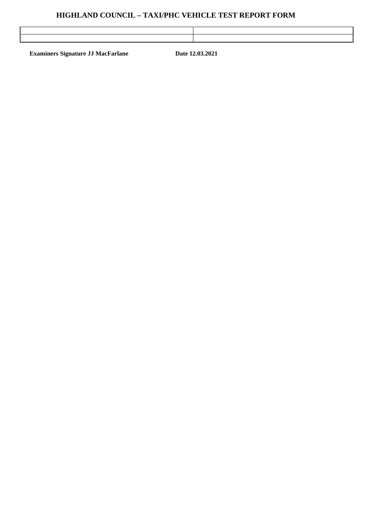#### **HIGHLAND COUNCIL – TAXI/PHC VEHICLE TEST REPORT FORM**

| and the contract of the contract of the contract of the contract of the contract of the contract of the contract of |  |
|---------------------------------------------------------------------------------------------------------------------|--|
| ,我们也不能会在这里的,我们也不能会在这里的时候,我们也不能会在这里的时候,我们也不能会在这里的时候,我们也不能会在这里的时候,我们也不能会在这里的时候,我们也不                                   |  |
|                                                                                                                     |  |

**Examiners Signature JJ MacFarlane Date 12.03.2021**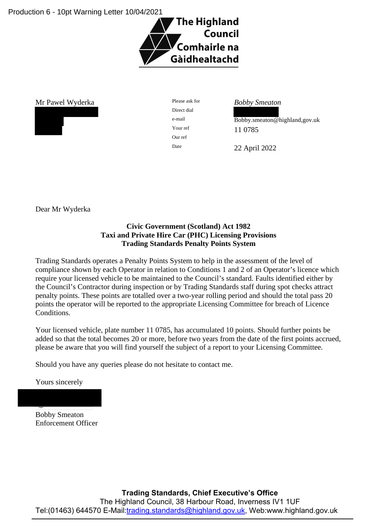Production 6 - 10pt Warning Letter 10/04/2021



Mr Pawel Wyderka Please ask for *Bobby Smeaton*



Direct dial Our ref

e-mail Bobby.smeaton@highland,gov.uk Your ref 11 0785

Date 22 April 2022

Dear Mr Wyderka

#### **Civic Government (Scotland) Act 1982 Taxi and Private Hire Car (PHC) Licensing Provisions Trading Standards Penalty Points System**

Trading Standards operates a Penalty Points System to help in the assessment of the level of compliance shown by each Operator in relation to Conditions 1 and 2 of an Operator's licence which require your licensed vehicle to be maintained to the Council's standard. Faults identified either by the Council's Contractor during inspection or by Trading Standards staff during spot checks attract penalty points. These points are totalled over a two-year rolling period and should the total pass 20 points the operator will be reported to the appropriate Licensing Committee for breach of Licence Conditions.

Your licensed vehicle, plate number 11 0785, has accumulated 10 points. Should further points be added so that the total becomes 20 or more, before two years from the date of the first points accrued, please be aware that you will find yourself the subject of a report to your Licensing Committee.

Should you have any queries please do not hesitate to contact me.

Yours sincerely

Bobby Smeaton Enforcement Officer

**Trading Standards, Chief Executive's Office**

The Highland Council, 38 Harbour Road, Inverness IV1 1UF Tel:(01463) 644570 E-Mail[:trading.standards@highland.gov.uk,](mailto:trading.standards@highland.gov.uk) Web:www.highland.gov.uk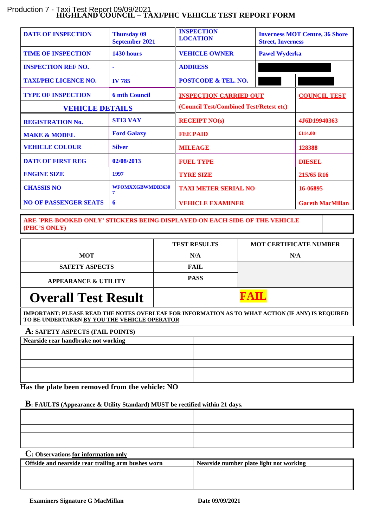#### **HIGHLAND COUNCIL – TAXI/PHC VEHICLE TEST REPORT FORM** Production 7 - Taxi Test Report 09/09/2021

| <b>DATE OF INSPECTION</b>    | <b>Thursday 09</b><br><b>September 2021</b> | <b>INSPECTION</b><br><b>Inverness MOT Centre, 36 Shore</b><br><b>LOCATION</b><br><b>Street, Inverness</b> |  |                         |
|------------------------------|---------------------------------------------|-----------------------------------------------------------------------------------------------------------|--|-------------------------|
| <b>TIME OF INSPECTION</b>    | 1430 hours                                  | <b>VEHICLE OWNER</b><br><b>Pawel Wyderka</b>                                                              |  |                         |
| <b>INSPECTION REF NO.</b>    |                                             | <b>ADDRESS</b>                                                                                            |  |                         |
| <b>TAXI/PHC LICENCE NO.</b>  | <b>IV 785</b>                               | <b>POSTCODE &amp; TEL. NO.</b>                                                                            |  |                         |
| <b>TYPE OF INSPECTION</b>    | <b>6 mth Council</b>                        | <b>INSPECTION CARRIED OUT</b>                                                                             |  | <b>COUNCIL TEST</b>     |
| <b>VEHICLE DETAILS</b>       |                                             | (Council Test/Combined Test/Retest etc)                                                                   |  |                         |
| <b>REGISTRATION No.</b>      | <b>ST13 VAY</b>                             | <b>RECEIPT NO(s)</b>                                                                                      |  | 4J6D19940363            |
| <b>MAKE &amp; MODEL</b>      | <b>Ford Galaxy</b>                          | <b>FEE PAID</b>                                                                                           |  | £114.00                 |
| <b>VEHICLE COLOUR</b>        | <b>Silver</b>                               | <b>MILEAGE</b>                                                                                            |  | 128388                  |
| <b>DATE OF FIRST REG</b>     | 02/08/2013                                  | <b>FUEL TYPE</b>                                                                                          |  | <b>DIESEL</b>           |
| <b>ENGINE SIZE</b>           | 1997                                        | <b>TYRE SIZE</b>                                                                                          |  | 215/65 R16              |
| <b>CHASSIS NO</b>            | WFOMXXGBWMDB3630<br>7                       | <b>TAXI METER SERIAL NO</b>                                                                               |  | 16-06895                |
| <b>NO OF PASSENGER SEATS</b> | 6                                           | <b>VEHICLE EXAMINER</b>                                                                                   |  | <b>Gareth MacMillan</b> |

**ARE `PRE-BOOKED ONLY' STICKERS BEING DISPLAYED ON EACH SIDE OF THE VEHICLE (PHC'S ONLY)**

|                                 | <b>TEST RESULTS</b> | <b>MOT CERTIFICATE NUMBER</b> |  |
|---------------------------------|---------------------|-------------------------------|--|
| <b>MOT</b>                      | N/A                 | N/A                           |  |
| <b>SAFETY ASPECTS</b>           | FAIL                |                               |  |
| <b>APPEARANCE &amp; UTILITY</b> | <b>PASS</b>         |                               |  |
| <b>Overall Test Result</b>      |                     |                               |  |

**IMPORTANT: PLEASE READ THE NOTES OVERLEAF FOR INFORMATION AS TO WHAT ACTION (IF ANY) IS REQUIRED TO BE UNDERTAKEN BY YOU THE VEHICLE OPERATOR**

#### **A: SAFETY ASPECTS (FAIL POINTS)**

| Nearside rear handbrake not working |  |
|-------------------------------------|--|
|                                     |  |
|                                     |  |
|                                     |  |
|                                     |  |
|                                     |  |

 **Has the plate been removed from the vehicle: NO**

#### **B: FAULTS (Appearance & Utility Standard) MUST be rectified within 21 days.**

| <u> 1989 - Johann Stoff, amerikansk politiker (d. 1989)</u> |  |
|-------------------------------------------------------------|--|
|                                                             |  |
|                                                             |  |
| the contract of the contract of                             |  |
|                                                             |  |
|                                                             |  |

| Offside and nearside rear trailing arm bushes worn | Nearside number plate light not working |
|----------------------------------------------------|-----------------------------------------|
|                                                    |                                         |
|                                                    |                                         |
|                                                    |                                         |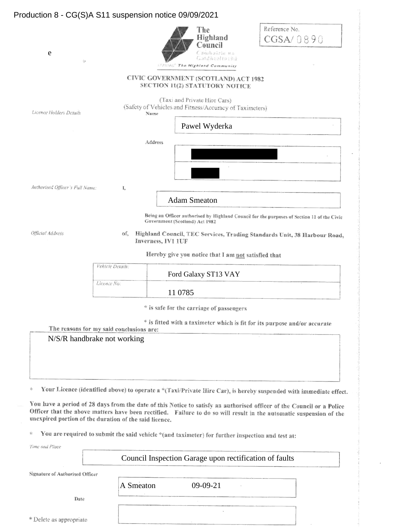#### Production 8 - CG(S)A S11 suspension notice 09/09/2021Reference No. The Highland CGSA/0890 Council sédairle na e Gaidhealtachd  $\omega$ The Highland Community CIVIC GOVERNMENT (SCOTLAND) ACT 1982 SECTION 11(2) STATUTORY NOTICE (Taxi and Private Hire Cars) (Safety of Vehicles and Fitness/Accuracy of Taximeters) Licence Holders Details Name Pawel Wyderka Address Authorised Officer's Full Name: Ï, Adam Smeaton Being an Officer authorised by Highland Council for the purposes of Section 11 of the Civic Government (Scotland) Act 1982 Official Address of, Highland Council, TEC Services, Trading Standards Unit, 38 Harbour Road, Inverness, IV1 1UF Hereby give you notice that I am not satisfied that

| Vehicle Details: |                      |  |
|------------------|----------------------|--|
|                  | Ford Galaxy ST13 VAY |  |
| Licence No:      |                      |  |
|                  | 11 0785              |  |

\* is safe for the carriage of passengers

\* is fitted with a taximeter which is fit for its purpose and/or accurate

#### The reasons for my said conclusions are: N/S/R handbrake not working

影 Your Licence (identified above) to operate a \*(Taxi/Private Hire Car), is hereby suspended with immediate effect.

You have a period of 28 days from the date of this Notice to satisfy an authorised officer of the Council or a Police Officer that the above matters have been rectified. Failure to do so will result in the automatic suspension of the unexpired portion of the duration of the said licence.

You are required to submit the said vehicle \*(and taximeter) for further inspection and test at: Ś.

Time and Place

Council Inspection Garage upon rectification of faults

Signature of Authorised Officer

Date

\* Delete as appropriate

A Smeaton 09-09-21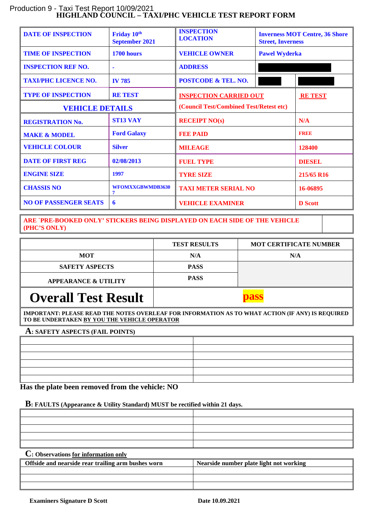#### **HIGHLAND COUNCIL – TAXI/PHC VEHICLE TEST REPORT FORM** Production 9 - Taxi Test Report 10/09/2021

| <b>DATE OF INSPECTION</b>    | Friday 10th<br><b>September 2021</b> | <b>INSPECTION</b><br><b>LOCATION</b>    | <b>Street, Inverness</b> | <b>Inverness MOT Centre, 36 Shore</b> |
|------------------------------|--------------------------------------|-----------------------------------------|--------------------------|---------------------------------------|
| <b>TIME OF INSPECTION</b>    | 1700 hours                           | <b>VEHICLE OWNER</b>                    | <b>Pawel Wyderka</b>     |                                       |
| <b>INSPECTION REF NO.</b>    | $\blacksquare$                       | <b>ADDRESS</b>                          |                          |                                       |
| <b>TAXI/PHC LICENCE NO.</b>  | <b>IV 785</b>                        | <b>POSTCODE &amp; TEL. NO.</b>          |                          |                                       |
| <b>TYPE OF INSPECTION</b>    | <b>RE TEST</b>                       | <b>INSPECTION CARRIED OUT</b>           |                          | <b>RE TEST</b>                        |
| <b>VEHICLE DETAILS</b>       |                                      | (Council Test/Combined Test/Retest etc) |                          |                                       |
| <b>REGISTRATION No.</b>      | <b>ST13 VAY</b>                      | <b>RECEIPT NO(s)</b>                    |                          | N/A                                   |
| <b>MAKE &amp; MODEL</b>      | <b>Ford Galaxy</b>                   | <b>FEE PAID</b>                         |                          | <b>FREE</b>                           |
| <b>VEHICLE COLOUR</b>        | <b>Silver</b>                        | <b>MILEAGE</b>                          |                          | 128400                                |
| <b>DATE OF FIRST REG</b>     | 02/08/2013                           | <b>FUEL TYPE</b>                        |                          | <b>DIESEL</b>                         |
| <b>ENGINE SIZE</b>           | 1997                                 | <b>TYRE SIZE</b>                        |                          | 215/65 R16                            |
| <b>CHASSIS NO</b>            | WFOMXXGBWMDB3630<br>7                | <b>TAXI METER SERIAL NO</b>             |                          | 16-06895                              |
| <b>NO OF PASSENGER SEATS</b> | 6                                    | <b>VEHICLE EXAMINER</b>                 |                          | <b>D</b> Scott                        |

**ARE `PRE-BOOKED ONLY' STICKERS BEING DISPLAYED ON EACH SIDE OF THE VEHICLE (PHC'S ONLY)**

|                                 | <b>TEST RESULTS</b> | <b>MOT CERTIFICATE NUMBER</b> |
|---------------------------------|---------------------|-------------------------------|
| <b>MOT</b>                      | N/A                 | N/A                           |
| <b>SAFETY ASPECTS</b>           | <b>PASS</b>         |                               |
| <b>APPEARANCE &amp; UTILITY</b> | <b>PASS</b>         |                               |
| <b>Overall Test Result</b>      |                     |                               |

**IMPORTANT: PLEASE READ THE NOTES OVERLEAF FOR INFORMATION AS TO WHAT ACTION (IF ANY) IS REQUIRED TO BE UNDERTAKEN BY YOU THE VEHICLE OPERATOR**

#### **A: SAFETY ASPECTS (FAIL POINTS)**

 **Has the plate been removed from the vehicle: NO**

#### **B: FAULTS (Appearance & Utility Standard) MUST be rectified within 21 days.**

| and the control of the control of the control of the control of the control of the control of the control of the | the contract of the contract of the contract of the contract of the contract of the contract of the contract of |
|------------------------------------------------------------------------------------------------------------------|-----------------------------------------------------------------------------------------------------------------|

| Offside and nearside rear trailing arm bushes worn | Nearside number plate light not working |
|----------------------------------------------------|-----------------------------------------|
|                                                    |                                         |
|                                                    |                                         |
|                                                    |                                         |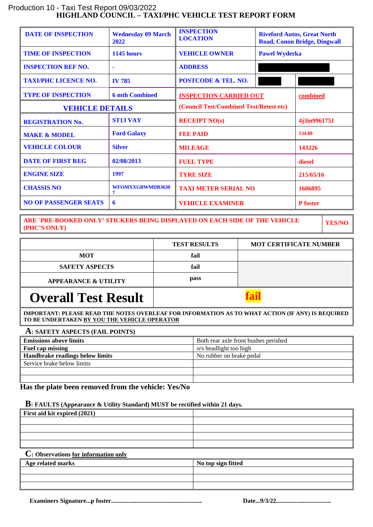#### **HIGHLAND COUNCIL – TAXI/PHC VEHICLE TEST REPORT FORM** Production 10 - Taxi Test Report 09/03/2022

| <b>DATE OF INSPECTION</b>    | <b>Wednesday 09 March</b><br>2022 | <b>INSPECTION</b><br><b>LOCATION</b>    |                      | <b>Riveford Autos, Great North</b><br><b>Road, Conon Bridge, Dingwall</b> |
|------------------------------|-----------------------------------|-----------------------------------------|----------------------|---------------------------------------------------------------------------|
| <b>TIME OF INSPECTION</b>    | 1145 hours                        | <b>VEHICLE OWNER</b>                    | <b>Pawel Wyderka</b> |                                                                           |
| <b>INSPECTION REF NO.</b>    |                                   | <b>ADDRESS</b>                          |                      |                                                                           |
| <b>TAXI/PHC LICENCE NO.</b>  | <b>IV 785</b>                     | <b>POSTCODE &amp; TEL. NO.</b>          |                      |                                                                           |
| <b>TYPE OF INSPECTION</b>    | <b>6 mth Combined</b>             | <b>INSPECTION CARRIED OUT</b>           |                      | combined                                                                  |
| <b>VEHICLE DETAILS</b>       |                                   | (Council Test/Combined Test/Retest etc) |                      |                                                                           |
| <b>REGISTRATION No.</b>      | <b>ST13 VAY</b>                   | <b>RECEIPT NO(s)</b>                    |                      | 4j3in9961751                                                              |
| <b>MAKE &amp; MODEL</b>      | <b>Ford Galaxy</b>                | <b>FEE PAID</b>                         |                      | 134.00                                                                    |
| <b>VEHICLE COLOUR</b>        | <b>Silver</b>                     | <b>MILEAGE</b>                          |                      | 143226                                                                    |
| <b>DATE OF FIRST REG</b>     | 02/08/2013                        | <b>FUEL TYPE</b>                        |                      | diesel                                                                    |
| <b>ENGINE SIZE</b>           | 1997                              | <b>TYRE SIZE</b>                        |                      | 215/65/16                                                                 |
| <b>CHASSIS NO</b>            | WFOMXXGBWMDB3630<br>7             | <b>TAXI METER SERIAL NO</b>             |                      | 1606895                                                                   |
| <b>NO OF PASSENGER SEATS</b> | 6                                 | <b>VEHICLE EXAMINER</b>                 |                      | <b>P</b> foster                                                           |

**ARE `PRE-BOOKED ONLY' STICKERS BEING DISPLAYED ON EACH SIDE OF THE VEHICLE (PHC'S ONLY)**

**YES/NO**

|                                 | <b>TEST RESULTS</b> | <b>MOT CERTIFICATE NUMBER</b> |
|---------------------------------|---------------------|-------------------------------|
| <b>MOT</b>                      | fail                |                               |
| <b>SAFETY ASPECTS</b>           | fail                |                               |
| <b>APPEARANCE &amp; UTILITY</b> | pass                |                               |
| <b>Overall Test Result</b>      |                     |                               |

**IMPORTANT: PLEASE READ THE NOTES OVERLEAF FOR INFORMATION AS TO WHAT ACTION (IF ANY) IS REQUIRED TO BE UNDERTAKEN BY YOU THE VEHICLE OPERATOR**

#### **A: SAFETY ASPECTS (FAIL POINTS)**

| <b>Emissions above limits</b>   | Both rear axle front bushes perished |
|---------------------------------|--------------------------------------|
| Fuel cap missing                | o/s headlight too high               |
| Handbrake readings below limits | No rubber on brake pedal             |
| Service brake below limits      |                                      |
|                                 |                                      |
|                                 |                                      |

 **Has the plate been removed from the vehicle: Yes/No**

#### **B: FAULTS (Appearance & Utility Standard) MUST be rectified within 21 days.**

| First aid kit expired (2021) |  |
|------------------------------|--|
|                              |  |
|                              |  |
|                              |  |
|                              |  |
| $\sim$                       |  |

| Age related marks | No top sign fitted |
|-------------------|--------------------|
|                   |                    |
|                   |                    |
|                   |                    |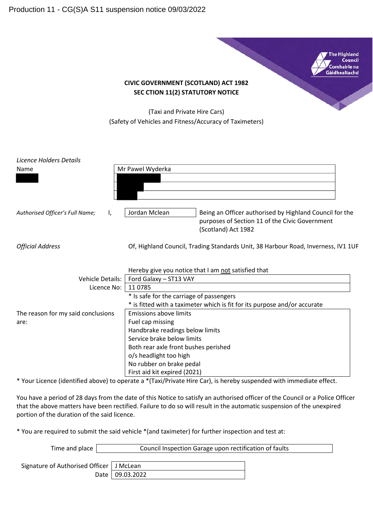**The Highland** Council Comhairle na Gàidhealtachd

#### **CIVIC GOVERNMENT (SCOTLAND) ACT 1982 SEC CTION 11(2) STATUTORY NOTICE**

(Taxi and Private Hire Cars) (Safety of Vehicles and Fitness/Accuracy of Taximeters)

| Licence Holders Details<br>Name       | Mr Pawel Wyderka                                                                                                                                  |  |
|---------------------------------------|---------------------------------------------------------------------------------------------------------------------------------------------------|--|
|                                       |                                                                                                                                                   |  |
| Authorised Officer's Full Name;<br>Ι, | Being an Officer authorised by Highland Council for the<br>Jordan Mclean<br>purposes of Section 11 of the Civic Government<br>(Scotland) Act 1982 |  |
| <b>Official Address</b>               | Of, Highland Council, Trading Standards Unit, 38 Harbour Road, Inverness, IV1 1UF                                                                 |  |
|                                       | Hereby give you notice that I am not satisfied that                                                                                               |  |
| <b>Vehicle Details:</b>               | Ford Galaxy - ST13 VAY                                                                                                                            |  |
| Licence No:                           | 110785                                                                                                                                            |  |
|                                       | * Is safe for the carriage of passengers                                                                                                          |  |
|                                       | * is fitted with a taximeter which is fit for its purpose and/or accurate                                                                         |  |
| The reason for my said conclusions    | <b>Emissions above limits</b>                                                                                                                     |  |
| are:                                  | Fuel cap missing                                                                                                                                  |  |
|                                       | Handbrake readings below limits                                                                                                                   |  |
|                                       | Service brake below limits                                                                                                                        |  |
|                                       | Both rear axle front bushes perished                                                                                                              |  |
|                                       | o/s headlight too high                                                                                                                            |  |
|                                       | No rubber on brake pedal                                                                                                                          |  |
|                                       | First aid kit expired (2021)                                                                                                                      |  |

\* Your Licence (identified above) to operate a \*(Taxi/Private Hire Car), is hereby suspended with immediate effect.

You have a period of 28 days from the date of this Notice to satisfy an authorised officer of the Council or a Police Officer that the above matters have been rectified. Failure to do so will result in the automatic suspension of the unexpired portion of the duration of the said licence.

\* You are required to submit the said vehicle \*(and taximeter) for further inspection and test at:

| Time and place                             | Council Inspection Garage upon rectification of faults |  |  |
|--------------------------------------------|--------------------------------------------------------|--|--|
|                                            |                                                        |  |  |
| Signature of Authorised Officer   J McLean |                                                        |  |  |
|                                            | Date   09.03.2022                                      |  |  |